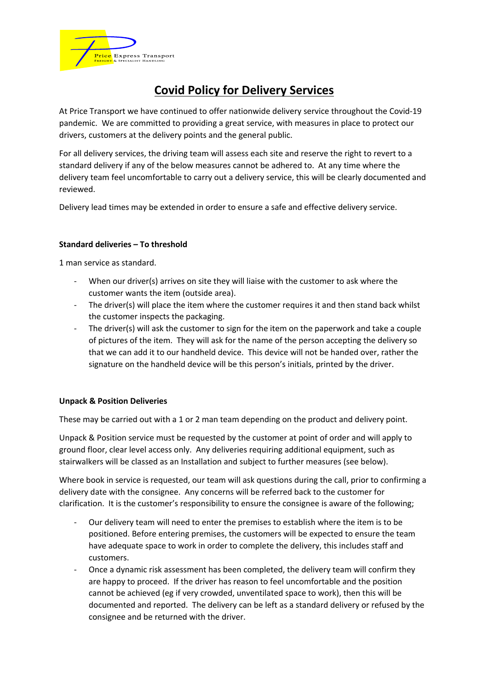

# **Covid Policy for Delivery Services**

At Price Transport we have continued to offer nationwide delivery service throughout the Covid-19 pandemic. We are committed to providing a great service, with measures in place to protect our drivers, customers at the delivery points and the general public.

For all delivery services, the driving team will assess each site and reserve the right to revert to a standard delivery if any of the below measures cannot be adhered to. At any time where the delivery team feel uncomfortable to carry out a delivery service, this will be clearly documented and reviewed.

Delivery lead times may be extended in order to ensure a safe and effective delivery service.

# **Standard deliveries – To threshold**

1 man service as standard.

- When our driver(s) arrives on site they will liaise with the customer to ask where the customer wants the item (outside area).
- The driver(s) will place the item where the customer requires it and then stand back whilst the customer inspects the packaging.
- The driver(s) will ask the customer to sign for the item on the paperwork and take a couple of pictures of the item. They will ask for the name of the person accepting the delivery so that we can add it to our handheld device. This device will not be handed over, rather the signature on the handheld device will be this person's initials, printed by the driver.

# **Unpack & Position Deliveries**

These may be carried out with a 1 or 2 man team depending on the product and delivery point.

Unpack & Position service must be requested by the customer at point of order and will apply to ground floor, clear level access only. Any deliveries requiring additional equipment, such as stairwalkers will be classed as an Installation and subject to further measures (see below).

Where book in service is requested, our team will ask questions during the call, prior to confirming a delivery date with the consignee. Any concerns will be referred back to the customer for clarification. It is the customer's responsibility to ensure the consignee is aware of the following;

- Our delivery team will need to enter the premises to establish where the item is to be positioned. Before entering premises, the customers will be expected to ensure the team have adequate space to work in order to complete the delivery, this includes staff and customers.
- Once a dynamic risk assessment has been completed, the delivery team will confirm they are happy to proceed. If the driver has reason to feel uncomfortable and the position cannot be achieved (eg if very crowded, unventilated space to work), then this will be documented and reported. The delivery can be left as a standard delivery or refused by the consignee and be returned with the driver.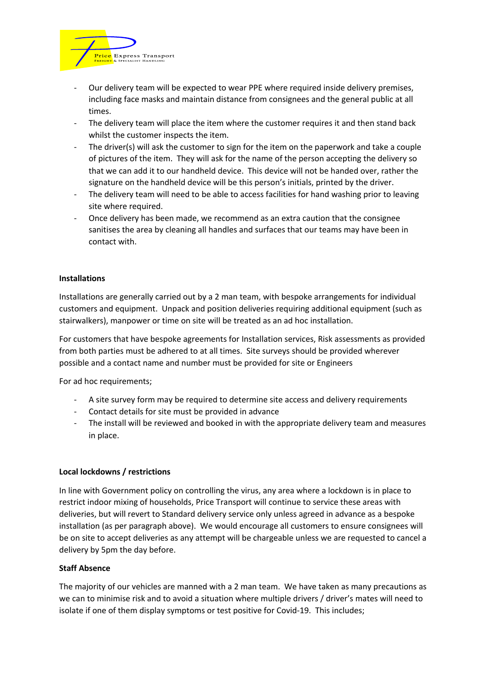

- Our delivery team will be expected to wear PPE where required inside delivery premises, including face masks and maintain distance from consignees and the general public at all times.
- The delivery team will place the item where the customer requires it and then stand back whilst the customer inspects the item.
- The driver(s) will ask the customer to sign for the item on the paperwork and take a couple of pictures of the item. They will ask for the name of the person accepting the delivery so that we can add it to our handheld device. This device will not be handed over, rather the signature on the handheld device will be this person's initials, printed by the driver.
- The delivery team will need to be able to access facilities for hand washing prior to leaving site where required.
- Once delivery has been made, we recommend as an extra caution that the consignee sanitises the area by cleaning all handles and surfaces that our teams may have been in contact with.

### **Installations**

Installations are generally carried out by a 2 man team, with bespoke arrangements for individual customers and equipment. Unpack and position deliveries requiring additional equipment (such as stairwalkers), manpower or time on site will be treated as an ad hoc installation.

For customers that have bespoke agreements for Installation services, Risk assessments as provided from both parties must be adhered to at all times. Site surveys should be provided wherever possible and a contact name and number must be provided for site or Engineers

For ad hoc requirements;

- A site survey form may be required to determine site access and delivery requirements
- Contact details for site must be provided in advance
- The install will be reviewed and booked in with the appropriate delivery team and measures in place.

### **Local lockdowns / restrictions**

In line with Government policy on controlling the virus, any area where a lockdown is in place to restrict indoor mixing of households, Price Transport will continue to service these areas with deliveries, but will revert to Standard delivery service only unless agreed in advance as a bespoke installation (as per paragraph above). We would encourage all customers to ensure consignees will be on site to accept deliveries as any attempt will be chargeable unless we are requested to cancel a delivery by 5pm the day before.

### **Staff Absence**

The majority of our vehicles are manned with a 2 man team. We have taken as many precautions as we can to minimise risk and to avoid a situation where multiple drivers / driver's mates will need to isolate if one of them display symptoms or test positive for Covid-19. This includes;